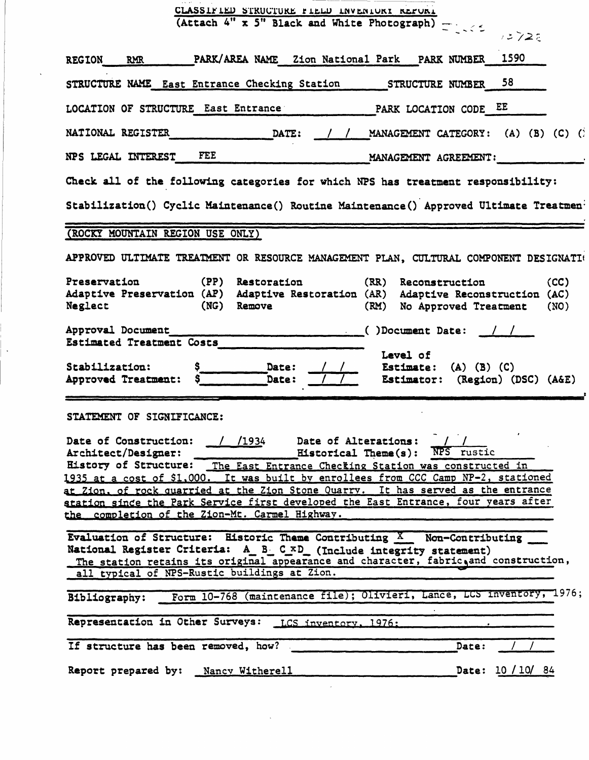| CLASSIFIED STRUCTURE FIELD INVENIURI REPURI<br>(Attach 4" x 5" Black and White Photograph) -                                                                                                                                                                                                                                                                                                                                                                                                                                                            |  |  |  |  |  |  |
|---------------------------------------------------------------------------------------------------------------------------------------------------------------------------------------------------------------------------------------------------------------------------------------------------------------------------------------------------------------------------------------------------------------------------------------------------------------------------------------------------------------------------------------------------------|--|--|--|--|--|--|
| 12725                                                                                                                                                                                                                                                                                                                                                                                                                                                                                                                                                   |  |  |  |  |  |  |
| PARK/AREA NAME Zion National Park PARK NUMBER 1590<br>REGION RMR                                                                                                                                                                                                                                                                                                                                                                                                                                                                                        |  |  |  |  |  |  |
| 58.<br>STRUCTURE NAME East Entrance Checking Station STRUCTURE NUMBER                                                                                                                                                                                                                                                                                                                                                                                                                                                                                   |  |  |  |  |  |  |
| LOCATION OF STRUCTURE East Entrance PARK LOCATION CODE EE                                                                                                                                                                                                                                                                                                                                                                                                                                                                                               |  |  |  |  |  |  |
| <b>NATIONAL REGISTER</b><br><b>DATE:</b><br>/ / MANAGEMENT CATEGORY: (A) (B) (C) (1)                                                                                                                                                                                                                                                                                                                                                                                                                                                                    |  |  |  |  |  |  |
| <b>FEE</b><br>NPS LEGAL INTEREST<br>MANAGEMENT AGREEMENT:                                                                                                                                                                                                                                                                                                                                                                                                                                                                                               |  |  |  |  |  |  |
| Check all of the following categories for which NPS has treatment responsibility:                                                                                                                                                                                                                                                                                                                                                                                                                                                                       |  |  |  |  |  |  |
| Stabilization() Cyclic Maintenance() Routine Maintenance() Approved Ultimate Treatmen <sup>:</sup>                                                                                                                                                                                                                                                                                                                                                                                                                                                      |  |  |  |  |  |  |
| (ROCKY MOUNTAIN REGION USE ONLY)                                                                                                                                                                                                                                                                                                                                                                                                                                                                                                                        |  |  |  |  |  |  |
| APPROVED ULTIMATE TREATMENT OR RESOURCE MANAGEMENT PLAN, CULTURAL COMPONENT DESIGNATI                                                                                                                                                                                                                                                                                                                                                                                                                                                                   |  |  |  |  |  |  |
| Preservation<br>(PP)<br>Restoration<br>(CC)<br>(RR)<br>Reconstruction<br>Adaptive Preservation (AP) Adaptive Restoration (AR) Adaptive Reconstruction (AC)<br>Neglect<br>(NG) Remove<br>(RM)<br>No Approved Treatment<br>(NO)                                                                                                                                                                                                                                                                                                                           |  |  |  |  |  |  |
| Approval Document<br><u> </u> ()Document Date: <u> / /</u><br>Estimated Treatment Costs<br>Level of<br>Date:<br>Stabilization:<br>Estimate: $(A)$ $(B)$ $(C)$<br>Date:<br>Approved Treatment:<br>Estimator: (Region) (DSC) (A&E)                                                                                                                                                                                                                                                                                                                        |  |  |  |  |  |  |
| STATEMENT OF SIGNIFICANCE:<br>Date of Construction:<br>/1934<br>Date of Alterations:<br><b>Historical Theme(s): NPS rustic</b><br>Architect/Designer:<br>Eistory of Structure: The East Entrance Checking Station was constructed in<br>1935 at a cost of \$1,000. It was built by enrollees from CCC Camp NP-2, stationed<br>at Zion, of rock quarried at the Zion Stone Quarry. It has served as the entrance<br>station since the Park Service first developed the East Entrance, four years after<br>the completion of the Zion-Mt. Carmel Highway. |  |  |  |  |  |  |
| Evaluation of Structure: Historic Theme Contributing X Non-Contributing<br>National Register Criteria: A B C xD (Include integrity statement)<br>The station retains its original appearance and character, fabric, and construction,<br>all typical of NPS-Rustic buildings at Zion.                                                                                                                                                                                                                                                                   |  |  |  |  |  |  |
|                                                                                                                                                                                                                                                                                                                                                                                                                                                                                                                                                         |  |  |  |  |  |  |
| Form 10-768 (maintenance file); Olivieri, Lance, LCS Inventory, 1976;<br>Bibliography:                                                                                                                                                                                                                                                                                                                                                                                                                                                                  |  |  |  |  |  |  |
| Representation in Other Surveys: LCS inventory, 1976:                                                                                                                                                                                                                                                                                                                                                                                                                                                                                                   |  |  |  |  |  |  |
| If structure has been removed, how?<br>Date:                                                                                                                                                                                                                                                                                                                                                                                                                                                                                                            |  |  |  |  |  |  |

 $\sim 10^7$ 

 $\ddot{\phantom{a}}$